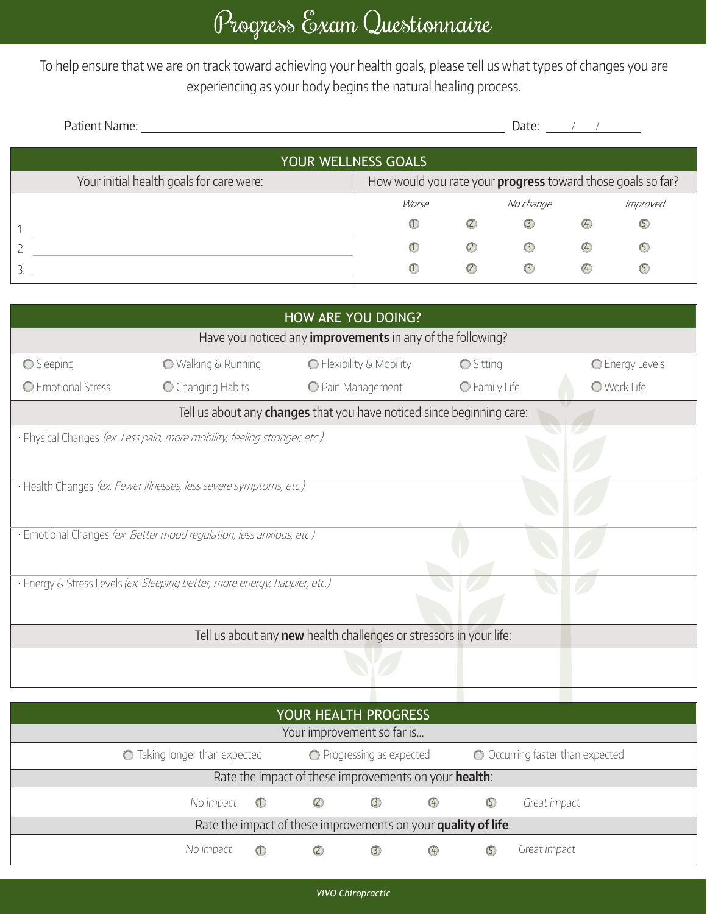To help ensure that we are on track toward achieving your health goals, please tell us what types of changes you are experiencing as your body begins the natural healing process.

| Patient Name:                            |                                                                    |               | Date:       |               |             |  |  |  |  |  |
|------------------------------------------|--------------------------------------------------------------------|---------------|-------------|---------------|-------------|--|--|--|--|--|
| YOUR WELLNESS GOALS                      |                                                                    |               |             |               |             |  |  |  |  |  |
| Your initial health goals for care were: | How would you rate your <b>progress</b> toward those goals so far? |               |             |               |             |  |  |  |  |  |
|                                          | Worse                                                              |               | No change   |               | Improved    |  |  |  |  |  |
|                                          | $\circledcirc$                                                     | $\circledB$   | $\odot$     | $\bigcirc$    | $\circledS$ |  |  |  |  |  |
|                                          | $\circ$                                                            | $\circled{c}$ | $\circledS$ | $\circled{4}$ | $\circ$     |  |  |  |  |  |
| 3                                        | $\omega$                                                           | $\circled{c}$ | $\odot$     | $\circ$       | (5)         |  |  |  |  |  |

| HOW ARE YOU DOING?                                                           |                                                                            |                          |                  |                    |  |  |  |  |
|------------------------------------------------------------------------------|----------------------------------------------------------------------------|--------------------------|------------------|--------------------|--|--|--|--|
| Have you noticed any <b>improvements</b> in any of the following?            |                                                                            |                          |                  |                    |  |  |  |  |
| Sleeping                                                                     | <b>O</b> Walking & Running                                                 | ◯ Flexibility & Mobility | <b>○</b> Sitting | C Energy Levels    |  |  |  |  |
| C Emotional Stress                                                           | C Changing Habits                                                          | O Pain Management        | O Family Life    | <b>O</b> Work Life |  |  |  |  |
| Tell us about any <b>changes</b> that you have noticed since beginning care: |                                                                            |                          |                  |                    |  |  |  |  |
|                                                                              | · Physical Changes (ex. Less pain, more mobility, feeling stronger, etc.)  |                          |                  |                    |  |  |  |  |
|                                                                              |                                                                            |                          |                  |                    |  |  |  |  |
|                                                                              | · Health Changes (ex. Fewer illnesses, less severe symptoms, etc.)         |                          |                  |                    |  |  |  |  |
|                                                                              |                                                                            |                          |                  |                    |  |  |  |  |
|                                                                              | · Emotional Changes (ex. Better mood regulation, less anxious, etc.)       |                          |                  |                    |  |  |  |  |
|                                                                              |                                                                            |                          |                  |                    |  |  |  |  |
|                                                                              | · Energy & Stress Levels (ex. Sleeping better, more energy, happier, etc.) |                          |                  |                    |  |  |  |  |
|                                                                              |                                                                            |                          |                  |                    |  |  |  |  |
| Tell us about any <b>new</b> health challenges or stressors in your life:    |                                                                            |                          |                  |                    |  |  |  |  |
|                                                                              |                                                                            |                          |                  |                    |  |  |  |  |
|                                                                              |                                                                            |                          |                  |                    |  |  |  |  |
|                                                                              |                                                                            |                          |                  |                    |  |  |  |  |

| YOUR HEALTH PROGRESS                                           |                                                            |               |               |            |                                  |              |  |
|----------------------------------------------------------------|------------------------------------------------------------|---------------|---------------|------------|----------------------------------|--------------|--|
| Your improvement so far is                                     |                                                            |               |               |            |                                  |              |  |
|                                                                | ◯ Taking longer than expected<br>◯ Progressing as expected |               |               |            | O Occurring faster than expected |              |  |
| Rate the impact of these improvements on your health:          |                                                            |               |               |            |                                  |              |  |
| No impact                                                      | $\left( 1\right)$                                          | $\circled{c}$ | $\odot$       | $\bigcirc$ | $\circledcirc$                   | Great impact |  |
| Rate the impact of these improvements on your quality of life: |                                                            |               |               |            |                                  |              |  |
| No impact                                                      | $\left( 1\right)$                                          | $\circled{c}$ | $\circled{3}$ | 4          | (5)                              | Great impact |  |